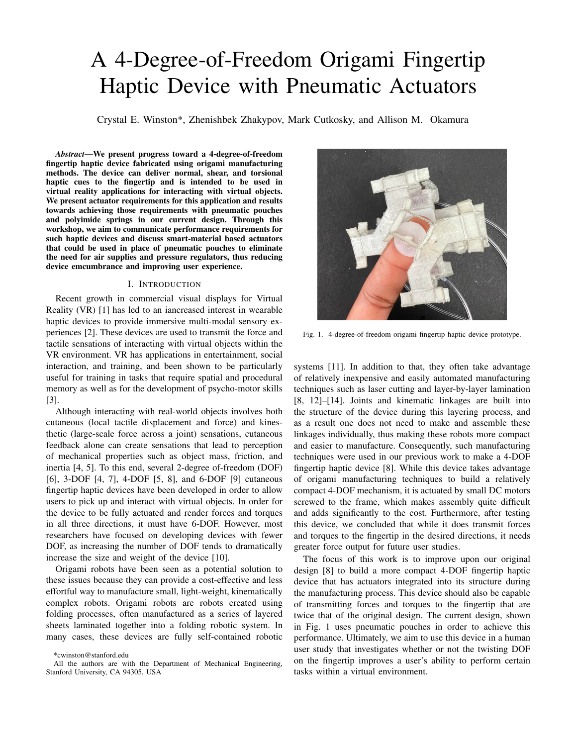# A 4-Degree-of-Freedom Origami Fingertip Haptic Device with Pneumatic Actuators

Crystal E. Winston\*, Zhenishbek Zhakypov, Mark Cutkosky, and Allison M. Okamura

*Abstract*—We present progress toward a 4-degree-of-freedom fingertip haptic device fabricated using origami manufacturing methods. The device can deliver normal, shear, and torsional haptic cues to the fingertip and is intended to be used in virtual reality applications for interacting with virtual objects. We present actuator requirements for this application and results towards achieving those requirements with pneumatic pouches and polyimide springs in our current design. Through this workshop, we aim to communicate performance requirements for such haptic devices and discuss smart-material based actuators that could be used in place of pneumatic pouches to eliminate the need for air supplies and pressure regulators, thus reducing device emcumbrance and improving user experience.

## I. INTRODUCTION

Recent growth in commercial visual displays for Virtual Reality (VR) [1] has led to an iancreased interest in wearable haptic devices to provide immersive multi-modal sensory experiences [2]. These devices are used to transmit the force and tactile sensations of interacting with virtual objects within the VR environment. VR has applications in entertainment, social interaction, and training, and been shown to be particularly useful for training in tasks that require spatial and procedural memory as well as for the development of psycho-motor skills [3].

Although interacting with real-world objects involves both cutaneous (local tactile displacement and force) and kinesthetic (large-scale force across a joint) sensations, cutaneous feedback alone can create sensations that lead to perception of mechanical properties such as object mass, friction, and inertia [4, 5]. To this end, several 2-degree of-freedom (DOF) [6], 3-DOF [4, 7], 4-DOF [5, 8], and 6-DOF [9] cutaneous fingertip haptic devices have been developed in order to allow users to pick up and interact with virtual objects. In order for the device to be fully actuated and render forces and torques in all three directions, it must have 6-DOF. However, most researchers have focused on developing devices with fewer DOF, as increasing the number of DOF tends to dramatically increase the size and weight of the device [10].

Origami robots have been seen as a potential solution to these issues because they can provide a cost-effective and less effortful way to manufacture small, light-weight, kinematically complex robots. Origami robots are robots created using folding processes, often manufactured as a series of layered sheets laminated together into a folding robotic system. In many cases, these devices are fully self-contained robotic

\*cwinston@stanford.edu



Fig. 1. 4-degree-of-freedom origami fingertip haptic device prototype.

systems [11]. In addition to that, they often take advantage of relatively inexpensive and easily automated manufacturing techniques such as laser cutting and layer-by-layer lamination [8, 12]–[14]. Joints and kinematic linkages are built into the structure of the device during this layering process, and as a result one does not need to make and assemble these linkages individually, thus making these robots more compact and easier to manufacture. Consequently, such manufacturing techniques were used in our previous work to make a 4-DOF fingertip haptic device [8]. While this device takes advantage of origami manufacturing techniques to build a relatively compact 4-DOF mechanism, it is actuated by small DC motors screwed to the frame, which makes assembly quite difficult and adds significantly to the cost. Furthermore, after testing this device, we concluded that while it does transmit forces and torques to the fingertip in the desired directions, it needs greater force output for future user studies.

The focus of this work is to improve upon our original design [8] to build a more compact 4-DOF fingertip haptic device that has actuators integrated into its structure during the manufacturing process. This device should also be capable of transmitting forces and torques to the fingertip that are twice that of the original design. The current design, shown in Fig. 1 uses pneumatic pouches in order to achieve this performance. Ultimately, we aim to use this device in a human user study that investigates whether or not the twisting DOF on the fingertip improves a user's ability to perform certain tasks within a virtual environment.

All the authors are with the Department of Mechanical Engineering, Stanford University, CA 94305, USA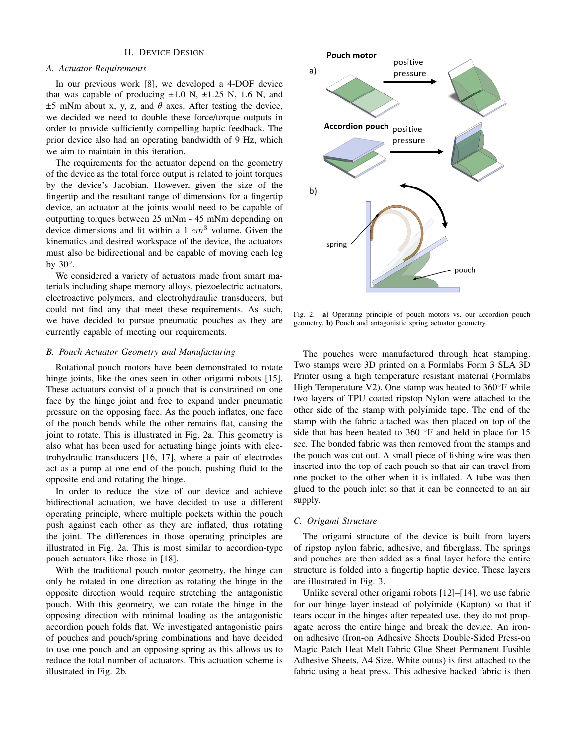# II. DEVICE DESIGN

#### *A. Actuator Requirements*

In our previous work [8], we developed a 4-DOF device that was capable of producing  $\pm 1.0$  N,  $\pm 1.25$  N, 1.6 N, and  $\pm$ 5 mNm about x, y, z, and  $\theta$  axes. After testing the device, we decided we need to double these force/torque outputs in order to provide sufficiently compelling haptic feedback. The prior device also had an operating bandwidth of 9 Hz, which we aim to maintain in this iteration.

The requirements for the actuator depend on the geometry of the device as the total force output is related to joint torques by the device's Jacobian. However, given the size of the fingertip and the resultant range of dimensions for a fingertip device, an actuator at the joints would need to be capable of outputting torques between 25 mNm - 45 mNm depending on device dimensions and fit within a 1  $cm<sup>3</sup>$  volume. Given the kinematics and desired workspace of the device, the actuators must also be bidirectional and be capable of moving each leg by  $30^\circ$ .

We considered a variety of actuators made from smart materials including shape memory alloys, piezoelectric actuators, electroactive polymers, and electrohydraulic transducers, but could not find any that meet these requirements. As such, we have decided to pursue pneumatic pouches as they are currently capable of meeting our requirements.

## *B. Pouch Actuator Geometry and Manufacturing*

Rotational pouch motors have been demonstrated to rotate hinge joints, like the ones seen in other origami robots [15]. These actuators consist of a pouch that is constrained on one face by the hinge joint and free to expand under pneumatic pressure on the opposing face. As the pouch inflates, one face of the pouch bends while the other remains flat, causing the joint to rotate. This is illustrated in Fig. 2a. This geometry is also what has been used for actuating hinge joints with electrohydraulic transducers [16, 17], where a pair of electrodes act as a pump at one end of the pouch, pushing fluid to the opposite end and rotating the hinge.

In order to reduce the size of our device and achieve bidirectional actuation, we have decided to use a different operating principle, where multiple pockets within the pouch push against each other as they are inflated, thus rotating the joint. The differences in those operating principles are illustrated in Fig. 2a. This is most similar to accordion-type pouch actuators like those in [18].

With the traditional pouch motor geometry, the hinge can only be rotated in one direction as rotating the hinge in the opposite direction would require stretching the antagonistic pouch. With this geometry, we can rotate the hinge in the opposing direction with minimal loading as the antagonistic accordion pouch folds flat. We investigated antagonistic pairs of pouches and pouch/spring combinations and have decided to use one pouch and an opposing spring as this allows us to reduce the total number of actuators. This actuation scheme is illustrated in Fig. 2b.



Fig. 2. a) Operating principle of pouch motors vs. our accordion pouch geometry. b) Pouch and antagonistic spring actuator geometry.

The pouches were manufactured through heat stamping. Two stamps were 3D printed on a Formlabs Form 3 SLA 3D Printer using a high temperature resistant material (Formlabs High Temperature V2). One stamp was heated to  $360^{\circ}$ F while two layers of TPU coated ripstop Nylon were attached to the other side of the stamp with polyimide tape. The end of the stamp with the fabric attached was then placed on top of the side that has been heated to  $360^\circ$ F and held in place for 15 sec. The bonded fabric was then removed from the stamps and the pouch was cut out. A small piece of fishing wire was then inserted into the top of each pouch so that air can travel from one pocket to the other when it is inflated. A tube was then glued to the pouch inlet so that it can be connected to an air supply.

#### *C. Origami Structure*

The origami structure of the device is built from layers of ripstop nylon fabric, adhesive, and fiberglass. The springs and pouches are then added as a final layer before the entire structure is folded into a fingertip haptic device. These layers are illustrated in Fig. 3.

Unlike several other origami robots [12]–[14], we use fabric for our hinge layer instead of polyimide (Kapton) so that if tears occur in the hinges after repeated use, they do not propagate across the entire hinge and break the device. An ironon adhesive (Iron-on Adhesive Sheets Double-Sided Press-on Magic Patch Heat Melt Fabric Glue Sheet Permanent Fusible Adhesive Sheets, A4 Size, White outus) is first attached to the fabric using a heat press. This adhesive backed fabric is then